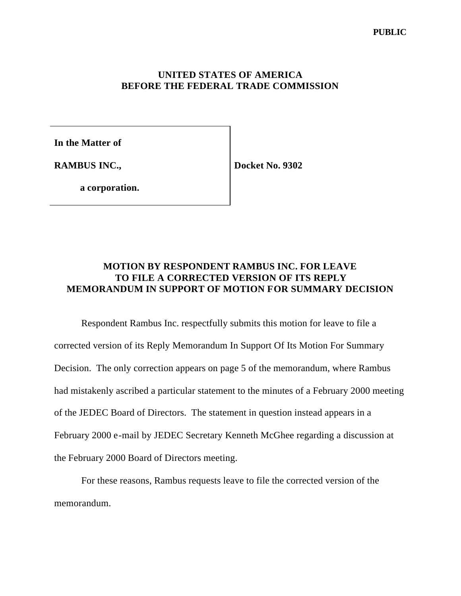# **UNITED STATES OF AMERICA BEFORE THE FEDERAL TRADE COMMISSION**

**In the Matter of**

**RAMBUS INC.,**

**Docket No. 9302**

**a corporation.**

# **MOTION BY RESPONDENT RAMBUS INC. FOR LEAVE TO FILE A CORRECTED VERSION OF ITS REPLY MEMORANDUM IN SUPPORT OF MOTION FOR SUMMARY DECISION**

Respondent Rambus Inc. respectfully submits this motion for leave to file a corrected version of its Reply Memorandum In Support Of Its Motion For Summary Decision. The only correction appears on page 5 of the memorandum, where Rambus had mistakenly ascribed a particular statement to the minutes of a February 2000 meeting of the JEDEC Board of Directors. The statement in question instead appears in a February 2000 e-mail by JEDEC Secretary Kenneth McGhee regarding a discussion at the February 2000 Board of Directors meeting.

For these reasons, Rambus requests leave to file the corrected version of the memorandum.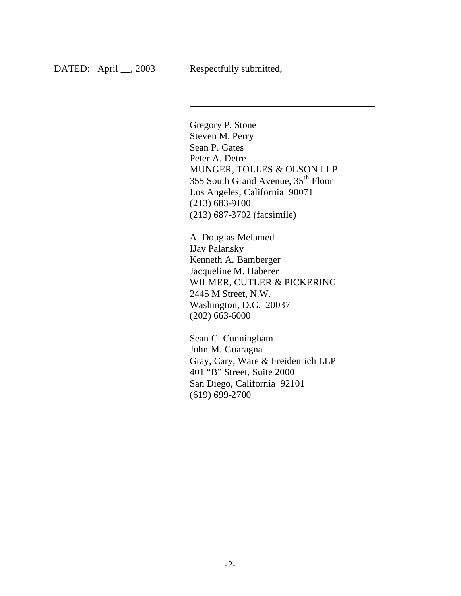$\overline{\phantom{a}}$ 

Gregory P. Stone Steven M. Perry Sean P. Gates Peter A. Detre MUNGER, TOLLES & OLSON LLP 355 South Grand Avenue, 35th Floor Los Angeles, California 90071 (213) 683-9100 (213) 687-3702 (facsimile)

A. Douglas Melamed IJay Palansky Kenneth A. Bamberger Jacqueline M. Haberer WILMER, CUTLER & PICKERING 2445 M Street, N.W. Washington, D.C. 20037 (202) 663-6000

Sean C. Cunningham John M. Guaragna Gray, Cary, Ware & Freidenrich LLP 401 "B" Street, Suite 2000 San Diego, California 92101 (619) 699-2700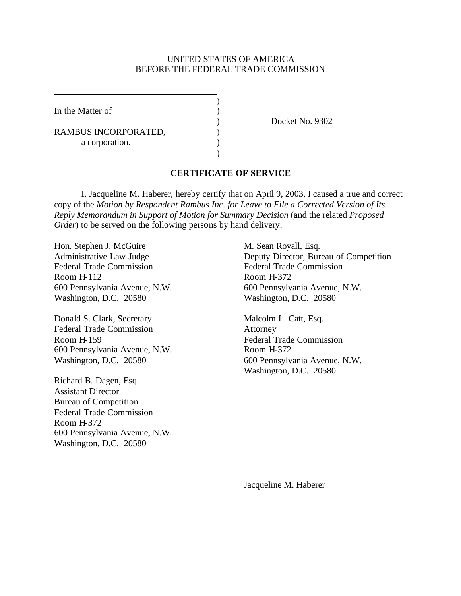#### UNITED STATES OF AMERICA BEFORE THE FEDERAL TRADE COMMISSION

)

)

In the Matter of  $\qquad \qquad$  )

RAMBUS INCORPORATED,  $($ a corporation.

) Docket No. 9302

### **CERTIFICATE OF SERVICE**

I, Jacqueline M. Haberer, hereby certify that on April 9, 2003, I caused a true and correct copy of the *Motion by Respondent Rambus Inc. for Leave to File a Corrected Version of Its Reply Memorandum in Support of Motion for Summary Decision* (and the related *Proposed Order*) to be served on the following persons by hand delivery:

Hon. Stephen J. McGuire M. Sean Royall, Esq. Federal Trade Commission Federal Trade Commission Room H-112 Room H-372 Washington, D.C. 20580 Washington, D.C. 20580

Donald S. Clark, Secretary Malcolm L. Catt, Esq. Federal Trade Commission Attorney Room H-159 Federal Trade Commission 600 Pennsylvania Avenue, N.W. Room H-372 Washington, D.C. 20580 600 Pennsylvania Avenue, N.W.

Richard B. Dagen, Esq. Assistant Director Bureau of Competition Federal Trade Commission Room H-372 600 Pennsylvania Avenue, N.W. Washington, D.C. 20580

Administrative Law Judge Deputy Director, Bureau of Competition 600 Pennsylvania Avenue, N.W. 600 Pennsylvania Avenue, N.W.

Washington, D.C. 20580

Jacqueline M. Haberer